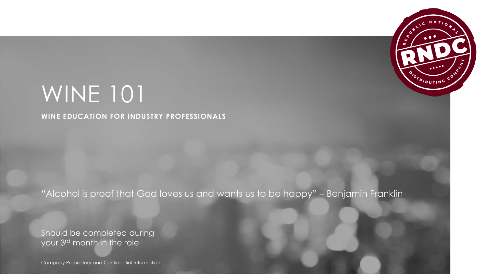

# WINE 101

**WINE EDUCATION FOR INDUSTRY PROFESSIONALS**

"Alcohol is proof that God loves us and wants us to be happy" – Benjamin Franklin

Should be completed during your 3rd month in the role

Company Proprietary and Confidential Information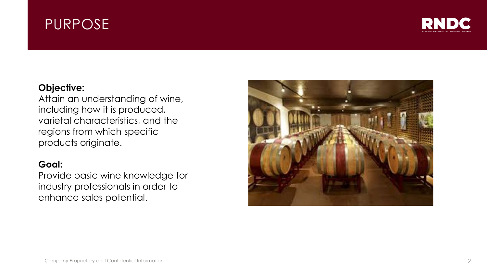## PURPOSE



#### **Objective:**

Attain an understanding of wine, including how it is produced, varietal characteristics, and the regions from which specific products originate.

#### **Goal:**

Provide basic wine knowledge for industry professionals in order to enhance sales potential.

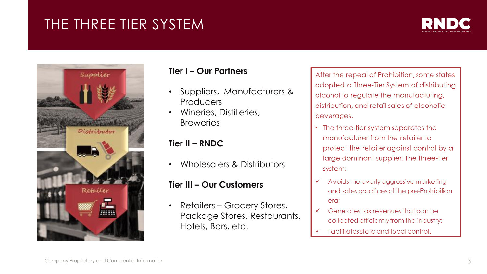# THE THREE TIER SYSTEM





#### **Tier I – Our Partners**

- Suppliers, Manufacturers & Producers
- Wineries, Distilleries, **Breweries**

#### **Tier II – RNDC**

• Wholesalers & Distributors

#### **Tier III – Our Customers**

• Retailers – Grocery Stores, Package Stores, Restaurants, Hotels, Bars, etc.

After the repeal of Prohibition, some states adopted a Three-Tier System of distributing alcohol to regulate the manufacturing, distribution, and retail sales of alcoholic beverages.

- The three-tier system separates the manufacturer from the retailer to protect the retailer against control by a large dominant supplier. The three-tier system:
- Avoids the overly aggressive marketing  $\checkmark$ and sales practices of the pre-Prohibition era;
- Generates tax revenues that can be collected efficiently from the industry;
- Facilitates state and local control.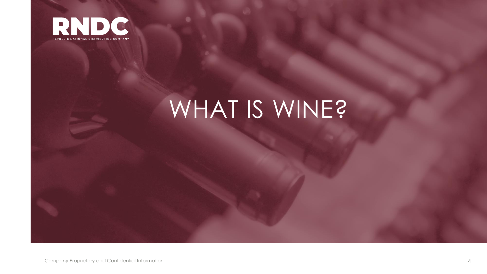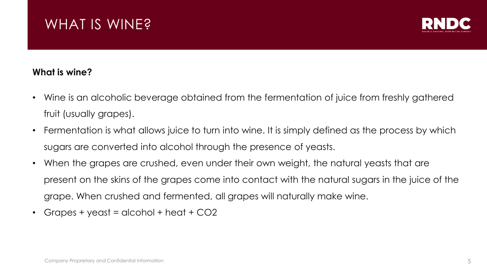

#### **What is wine?**

- Wine is an alcoholic beverage obtained from the fermentation of juice from freshly gathered fruit (usually grapes).
- Fermentation is what allows juice to turn into wine. It is simply defined as the process by which sugars are converted into alcohol through the presence of yeasts.
- When the grapes are crushed, even under their own weight, the natural yeasts that are present on the skins of the grapes come into contact with the natural sugars in the juice of the grape. When crushed and fermented, all grapes will naturally make wine.
- Grapes + yeast = alcohol + heat +  $CO2$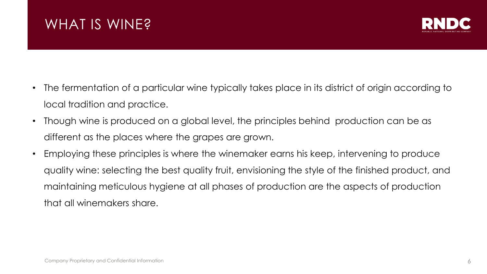

- The fermentation of a particular wine typically takes place in its district of origin according to local tradition and practice.
- Though wine is produced on a global level, the principles behind production can be as different as the places where the grapes are grown.
- Employing these principles is where the winemaker earns his keep, intervening to produce quality wine: selecting the best quality fruit, envisioning the style of the finished product, and maintaining meticulous hygiene at all phases of production are the aspects of production that all winemakers share.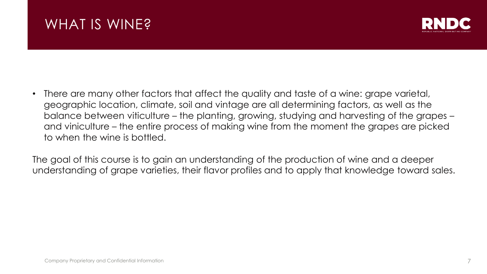

• There are many other factors that affect the quality and taste of a wine: grape varietal, geographic location, climate, soil and vintage are all determining factors, as well as the balance between viticulture – the planting, growing, studying and harvesting of the grapes – and viniculture – the entire process of making wine from the moment the grapes are picked to when the wine is bottled.

The goal of this course is to gain an understanding of the production of wine and a deeper understanding of grape varieties, their flavor profiles and to apply that knowledge toward sales.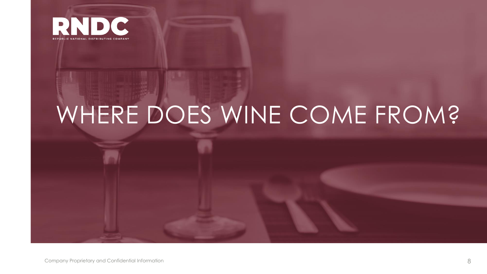

# WHERE DOES WINE COME FROM?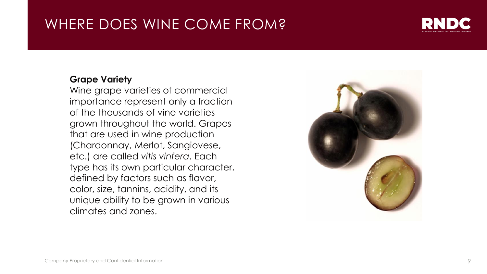# WHERE DOES WINE COME FROM?



#### **Grape Variety**

Wine grape varieties of commercial importance represent only a fraction of the thousands of vine varieties grown throughout the world. Grapes that are used in wine production (Chardonnay, Merlot, Sangiovese, etc.) are called *vitis vinfera*. Each type has its own particular character, defined by factors such as flavor, color, size, tannins, acidity, and its unique ability to be grown in various climates and zones.

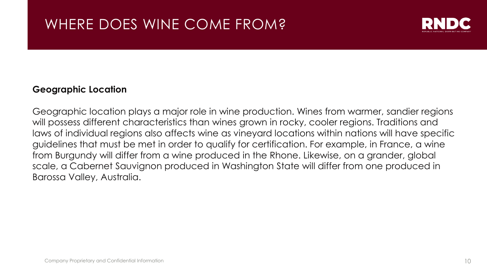

#### **Geographic Location**

Geographic location plays a major role in wine production. Wines from warmer, sandier regions will possess different characteristics than wines grown in rocky, cooler regions. Traditions and laws of individual regions also affects wine as vineyard locations within nations will have specific guidelines that must be met in order to qualify for certification. For example, in France, a wine from Burgundy will differ from a wine produced in the Rhone. Likewise, on a grander, global scale, a Cabernet Sauvignon produced in Washington State will differ from one produced in Barossa Valley, Australia.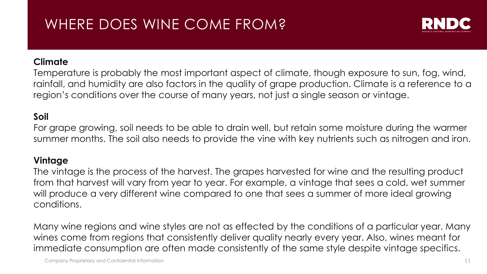# WHERE DOES WINE COME FROM?



#### **Climate**

Temperature is probably the most important aspect of climate, though exposure to sun, fog, wind, rainfall, and humidity are also factors in the quality of grape production. Climate is a reference to a region's conditions over the course of many years, not just a single season or vintage.

#### **Soil**

For grape growing, soil needs to be able to drain well, but retain some moisture during the warmer summer months. The soil also needs to provide the vine with key nutrients such as nitrogen and iron.

#### **Vintage**

The vintage is the process of the harvest. The grapes harvested for wine and the resulting product from that harvest will vary from year to year. For example, a vintage that sees a cold, wet summer will produce a very different wine compared to one that sees a summer of more ideal growing conditions.

Many wine regions and wine styles are not as effected by the conditions of a particular year. Many wines come from regions that consistently deliver quality nearly every year. Also, wines meant for immediate consumption are often made consistently of the same style despite vintage specifics.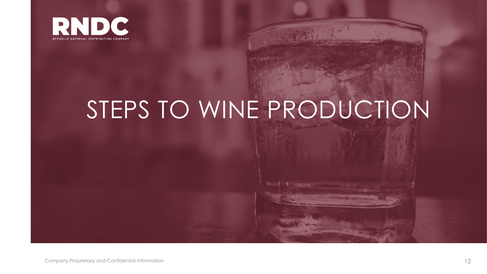

# STEPS TO WINE PRODUCTION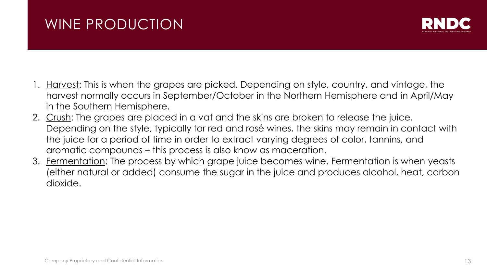# WINE PRODUCTION



- 1. Harvest: This is when the grapes are picked. Depending on style, country, and vintage, the harvest normally occurs in September/October in the Northern Hemisphere and in April/May in the Southern Hemisphere.
- 2. Crush: The grapes are placed in a vat and the skins are broken to release the juice. Depending on the style, typically for red and rosé wines, the skins may remain in contact with the juice for a period of time in order to extract varying degrees of color, tannins, and aromatic compounds – this process is also know as maceration.
- 3. Fermentation: The process by which grape juice becomes wine. Fermentation is when yeasts (either natural or added) consume the sugar in the juice and produces alcohol, heat, carbon dioxide.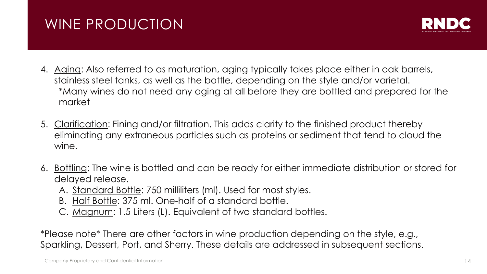# WINE PRODUCTION



- 4. Aging: Also referred to as maturation, aging typically takes place either in oak barrels, stainless steel tanks, as well as the bottle, depending on the style and/or varietal. \*Many wines do not need any aging at all before they are bottled and prepared for the market
- 5. Clarification: Fining and/or filtration. This adds clarity to the finished product thereby eliminating any extraneous particles such as proteins or sediment that tend to cloud the wine.
- 6. Bottling: The wine is bottled and can be ready for either immediate distribution or stored for delayed release.
	- A. Standard Bottle: 750 milliliters (ml). Used for most styles.
	- B. Half Bottle: 375 ml. One-half of a standard bottle.
	- C. Magnum: 1.5 Liters (L). Equivalent of two standard bottles.

\*Please note\* There are other factors in wine production depending on the style, e.g., Sparkling, Dessert, Port, and Sherry. These details are addressed in subsequent sections.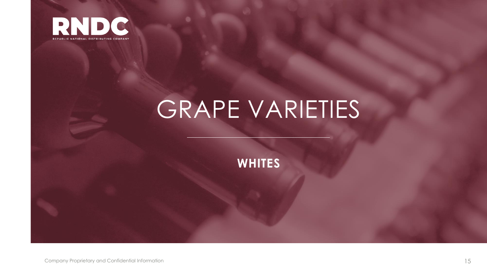

**WHITES**

Company Proprietary and Confidential Information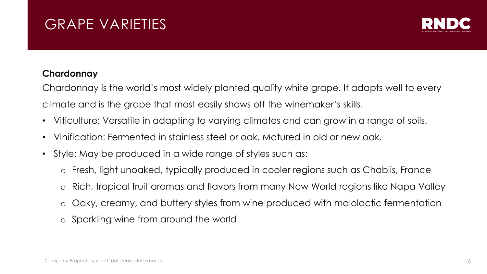

#### **Chardonnay**

Chardonnay is the world's most widely planted quality white grape. It adapts well to every climate and is the grape that most easily shows off the winemaker's skills.

- Viticulture: Versatile in adapting to varying climates and can grow in a range of soils.
- Vinification: Fermented in stainless steel or oak. Matured in old or new oak.
- Style: May be produced in a wide range of styles such as:
	- o Fresh, light unoaked, typically produced in cooler regions such as Chablis, France
	- o Rich, tropical fruit aromas and flavors from many New World regions like Napa Valley
	- o Oaky, creamy, and buttery styles from wine produced with malolactic fermentation
	- o Sparkling wine from around the world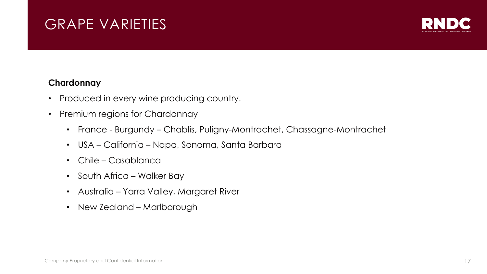

#### **Chardonnay**

- Produced in every wine producing country.
- Premium regions for Chardonnay
	- France Burgundy Chablis, Puligny-Montrachet, Chassagne-Montrachet
	- USA California Napa, Sonoma, Santa Barbara
	- Chile Casablanca
	- South Africa Walker Bay
	- Australia Yarra Valley, Margaret River
	- New Zealand Marlborough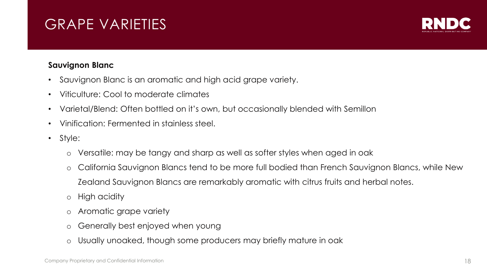

#### **Sauvignon Blanc**

- Sauvignon Blanc is an aromatic and high acid grape variety.
- Viticulture: Cool to moderate climates
- Varietal/Blend: Often bottled on it's own, but occasionally blended with Semillon
- Vinification: Fermented in stainless steel.
- Style:
	- o Versatile: may be tangy and sharp as well as softer styles when aged in oak
	- o California Sauvignon Blancs tend to be more full bodied than French Sauvignon Blancs, while New Zealand Sauvignon Blancs are remarkably aromatic with citrus fruits and herbal notes.
	- o High acidity
	- o Aromatic grape variety
	- o Generally best enjoyed when young
	- o Usually unoaked, though some producers may briefly mature in oak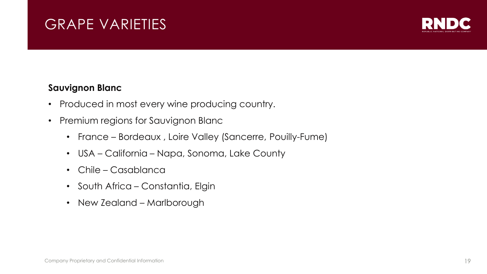

#### **Sauvignon Blanc**

- Produced in most every wine producing country.
- Premium regions for Sauvignon Blanc
	- France Bordeaux , Loire Valley (Sancerre, Pouilly-Fume)
	- USA California Napa, Sonoma, Lake County
	- Chile Casablanca
	- South Africa Constantia, Elgin
	- New Zealand Marlborough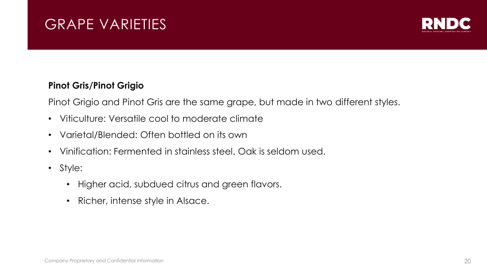

#### **Pinot Gris/Pinot Grigio**

Pinot Grigio and Pinot Gris are the same grape, but made in two different styles.

- Viticulture: Versatile cool to moderate climate
- Varietal/Blended: Often bottled on its own
- Vinification: Fermented in stainless steel. Oak is seldom used.
- Style:
	- Higher acid, subdued citrus and green flavors.
	- Richer, intense style in Alsace.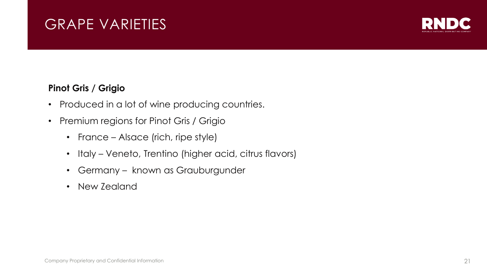

#### **Pinot Gris / Grigio**

- Produced in a lot of wine producing countries.
- Premium regions for Pinot Gris / Grigio
	- France Alsace (rich, ripe style)
	- Italy Veneto, Trentino (higher acid, citrus flavors)
	- Germany known as Grauburgunder
	- New Zealand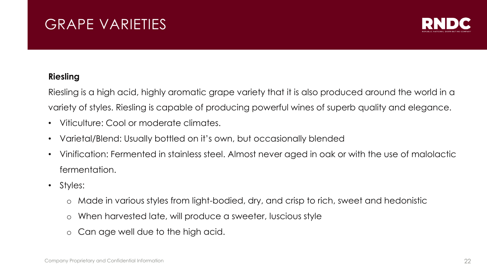

#### **Riesling**

Riesling is a high acid, highly aromatic grape variety that it is also produced around the world in a variety of styles. Riesling is capable of producing powerful wines of superb quality and elegance.

- Viticulture: Cool or moderate climates.
- Varietal/Blend: Usually bottled on it's own, but occasionally blended
- Vinification: Fermented in stainless steel. Almost never aged in oak or with the use of malolactic fermentation.
- Styles:
	- o Made in various styles from light-bodied, dry, and crisp to rich, sweet and hedonistic
	- o When harvested late, will produce a sweeter, luscious style
	- o Can age well due to the high acid.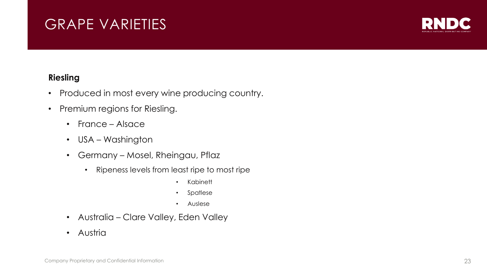

#### **Riesling**

- Produced in most every wine producing country.
- Premium regions for Riesling.
	- France Alsace
	- USA Washington
	- Germany Mosel, Rheingau, Pflaz
		- Ripeness levels from least ripe to most ripe
			- Kabinett
			- Spatlese
			- Auslese
	- Australia Clare Valley, Eden Valley
	- Austria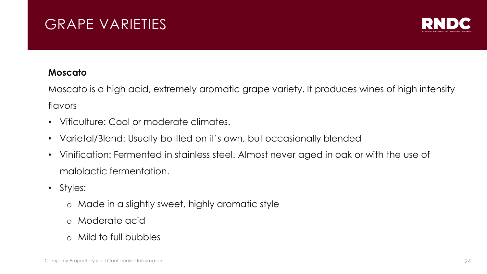

#### **Moscato**

Moscato is a high acid, extremely aromatic grape variety. It produces wines of high intensity flavors

- Viticulture: Cool or moderate climates.
- Varietal/Blend: Usually bottled on it's own, but occasionally blended
- Vinification: Fermented in stainless steel. Almost never aged in oak or with the use of malolactic fermentation.
- Styles:
	- o Made in a slightly sweet, highly aromatic style
	- o Moderate acid
	- o Mild to full bubbles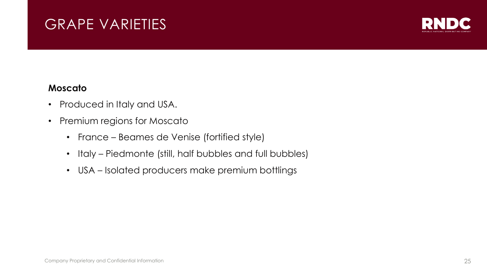

#### **Moscato**

- Produced in Italy and USA.
- Premium regions for Moscato
	- France Beames de Venise (fortified style)
	- Italy Piedmonte (still, half bubbles and full bubbles)
	- USA Isolated producers make premium bottlings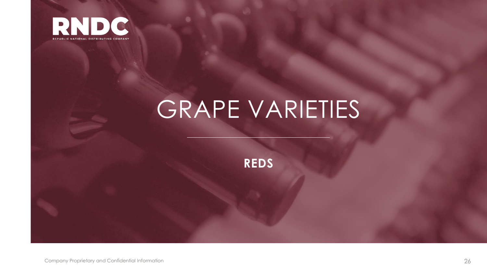

**REDS**

Company Proprietary and Confidential Information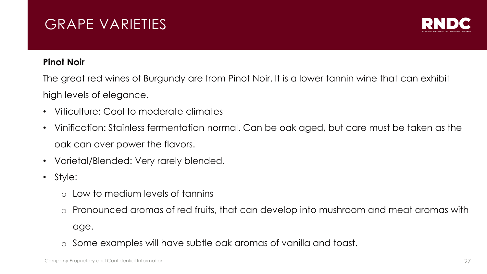

#### **Pinot Noir**

The great red wines of Burgundy are from Pinot Noir. It is a lower tannin wine that can exhibit high levels of elegance.

- Viticulture: Cool to moderate climates
- Vinification: Stainless fermentation normal. Can be oak aged, but care must be taken as the oak can over power the flavors.
- Varietal/Blended: Very rarely blended.
- Style:
	- o Low to medium levels of tannins
	- o Pronounced aromas of red fruits, that can develop into mushroom and meat aromas with age.
	- o Some examples will have subtle oak aromas of vanilla and toast.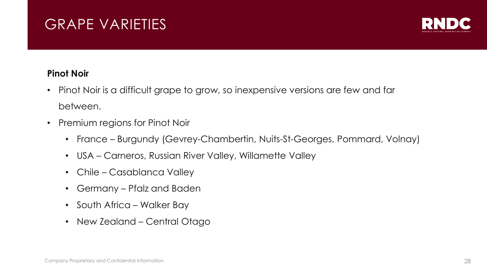

#### **Pinot Noir**

- Pinot Noir is a difficult grape to grow, so inexpensive versions are few and far between.
- Premium regions for Pinot Noir
	- France Burgundy (Gevrey-Chambertin, Nuits-St-Georges, Pommard, Volnay)
	- USA Carneros, Russian River Valley, Willamette Valley
	- Chile Casablanca Valley
	- Germany Pfalz and Baden
	- South Africa Walker Bay
	- New Zealand Central Otago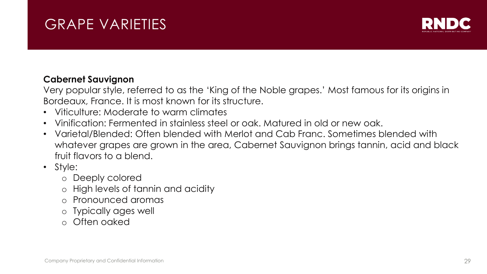

#### **Cabernet Sauvignon**

Very popular style, referred to as the 'King of the Noble grapes.' Most famous for its origins in Bordeaux, France. It is most known for its structure.

- Viticulture: Moderate to warm climates
- Vinification: Fermented in stainless steel or oak. Matured in old or new oak.
- Varietal/Blended: Often blended with Merlot and Cab Franc. Sometimes blended with whatever grapes are grown in the area, Cabernet Sauvignon brings tannin, acid and black fruit flavors to a blend.
- Style:
	- o Deeply colored
	- o High levels of tannin and acidity
	- o Pronounced aromas
	- o Typically ages well
	- o Often oaked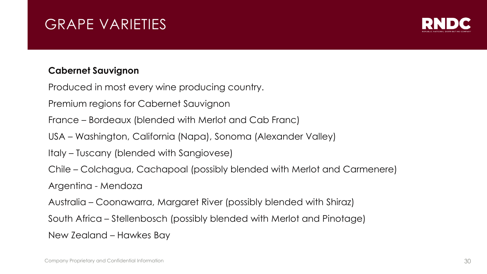

#### **Cabernet Sauvignon**

Produced in most every wine producing country.

Premium regions for Cabernet Sauvignon

France – Bordeaux (blended with Merlot and Cab Franc)

USA – Washington, California (Napa), Sonoma (Alexander Valley)

Italy – Tuscany (blended with Sangiovese)

Chile – Colchagua, Cachapoal (possibly blended with Merlot and Carmenere)

Argentina - Mendoza

Australia – Coonawarra, Margaret River (possibly blended with Shiraz)

South Africa – Stellenbosch (possibly blended with Merlot and Pinotage)

New Zealand – Hawkes Bay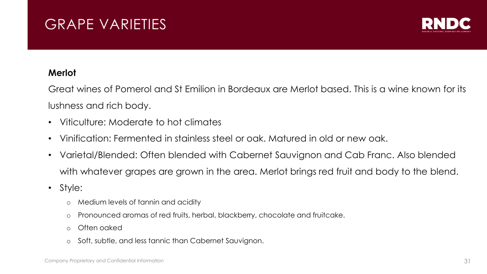

#### **Merlot**

Great wines of Pomerol and St Emilion in Bordeaux are Merlot based. This is a wine known for its lushness and rich body.

- Viticulture: Moderate to hot climates
- Vinification: Fermented in stainless steel or oak. Matured in old or new oak.
- Varietal/Blended: Often blended with Cabernet Sauvignon and Cab Franc. Also blended with whatever grapes are grown in the area. Merlot brings red fruit and body to the blend.
- Style:
	- o Medium levels of tannin and acidity
	- o Pronounced aromas of red fruits, herbal, blackberry, chocolate and fruitcake.
	- o Often oaked
	- o Soft, subtle, and less tannic than Cabernet Sauvignon.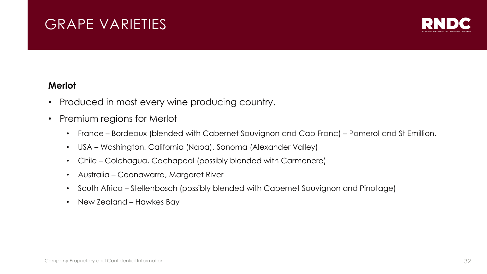

#### **Merlot**

- Produced in most every wine producing country.
- Premium regions for Merlot
	- France Bordeaux (blended with Cabernet Sauvignon and Cab Franc) Pomerol and St Emillion.
	- USA Washington, California (Napa), Sonoma (Alexander Valley)
	- Chile Colchagua, Cachapoal (possibly blended with Carmenere)
	- Australia Coonawarra, Margaret River
	- South Africa Stellenbosch (possibly blended with Cabernet Sauvignon and Pinotage)
	- New Zealand Hawkes Bay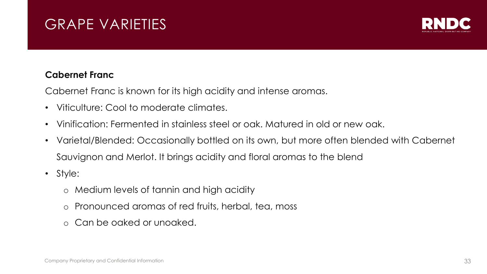

#### **Cabernet Franc**

Cabernet Franc is known for its high acidity and intense aromas.

- Viticulture: Cool to moderate climates.
- Vinification: Fermented in stainless steel or oak. Matured in old or new oak.
- Varietal/Blended: Occasionally bottled on its own, but more often blended with Cabernet Sauvignon and Merlot. It brings acidity and floral aromas to the blend
- Style:
	- o Medium levels of tannin and high acidity
	- o Pronounced aromas of red fruits, herbal, tea, moss
	- o Can be oaked or unoaked.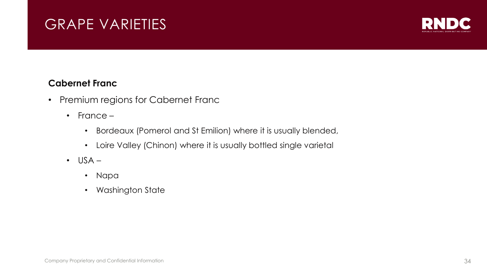

#### **Cabernet Franc**

- Premium regions for Cabernet Franc
	- France
		- Bordeaux (Pomerol and St Emilion) where it is usually blended,
		- Loire Valley (Chinon) where it is usually bottled single varietal
	- $\cdot$  USA
		- Napa
		- Washington State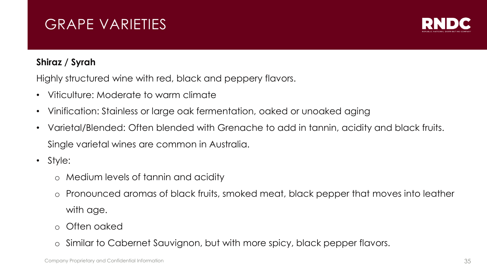

#### **Shiraz / Syrah**

Highly structured wine with red, black and peppery flavors.

- Viticulture: Moderate to warm climate
- Vinification: Stainless or large oak fermentation, oaked or unoaked aging
- Varietal/Blended: Often blended with Grenache to add in tannin, acidity and black fruits. Single varietal wines are common in Australia.
- Style:
	- o Medium levels of tannin and acidity
	- o Pronounced aromas of black fruits, smoked meat, black pepper that moves into leather with age.
	- o Often oaked
	- o Similar to Cabernet Sauvignon, but with more spicy, black pepper flavors.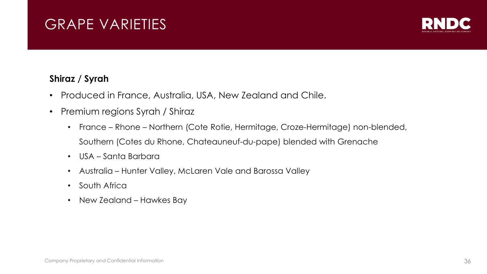

#### **Shiraz / Syrah**

- Produced in France, Australia, USA, New Zealand and Chile.
- Premium regions Syrah / Shiraz
	- France Rhone Northern (Cote Rotie, Hermitage, Croze-Hermitage) non-blended, Southern (Cotes du Rhone, Chateauneuf-du-pape) blended with Grenache
	- USA Santa Barbara
	- Australia Hunter Valley, McLaren Vale and Barossa Valley
	- South Africa
	- New Zealand Hawkes Bay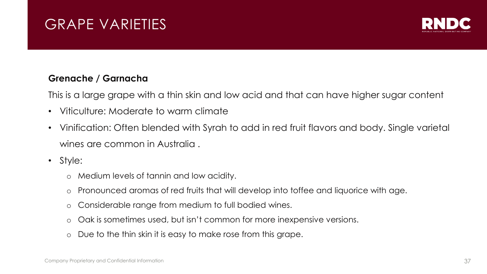

#### **Grenache / Garnacha**

This is a large grape with a thin skin and low acid and that can have higher sugar content

- Viticulture: Moderate to warm climate
- Vinification: Often blended with Syrah to add in red fruit flavors and body. Single varietal wines are common in Australia .
- Style:
	- o Medium levels of tannin and low acidity.
	- o Pronounced aromas of red fruits that will develop into toffee and liquorice with age.
	- o Considerable range from medium to full bodied wines.
	- o Oak is sometimes used, but isn't common for more inexpensive versions.
	- o Due to the thin skin it is easy to make rose from this grape.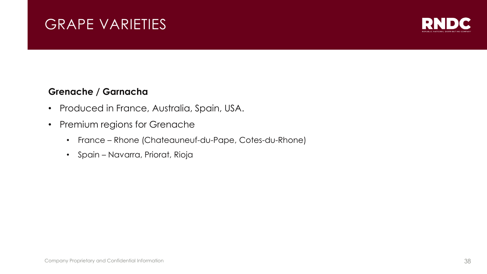

#### **Grenache / Garnacha**

- Produced in France, Australia, Spain, USA.
- Premium regions for Grenache
	- France Rhone (Chateauneuf-du-Pape, Cotes-du-Rhone)
	- Spain Navarra, Priorat, Rioja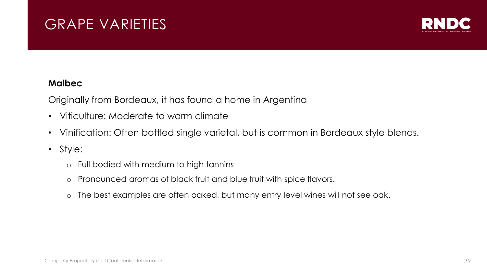

#### **Malbec**

Originally from Bordeaux, it has found a home in Argentina

- Viticulture: Moderate to warm climate
- Vinification: Often bottled single varietal, but is common in Bordeaux style blends.
- Style:
	- o Full bodied with medium to high tannins
	- o Pronounced aromas of black fruit and blue fruit with spice flavors.
	- o The best examples are often oaked, but many entry level wines will not see oak.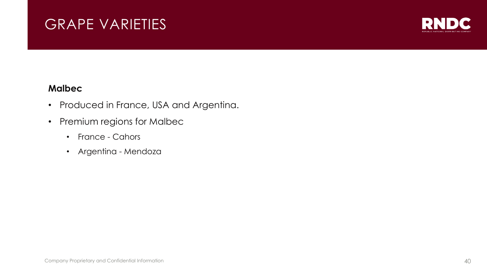

#### **Malbec**

- Produced in France, USA and Argentina.
- Premium regions for Malbec
	- France Cahors
	- Argentina Mendoza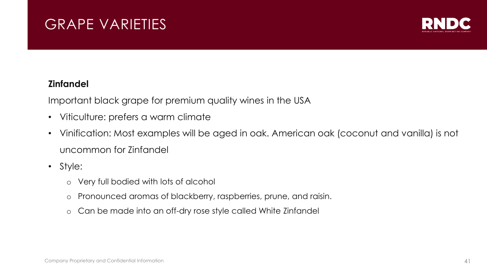

#### **Zinfandel**

Important black grape for premium quality wines in the USA

- Viticulture: prefers a warm climate
- Vinification: Most examples will be aged in oak. American oak (coconut and vanilla) is not uncommon for Zinfandel
- Style:
	- o Very full bodied with lots of alcohol
	- o Pronounced aromas of blackberry, raspberries, prune, and raisin.
	- o Can be made into an off-dry rose style called White Zinfandel